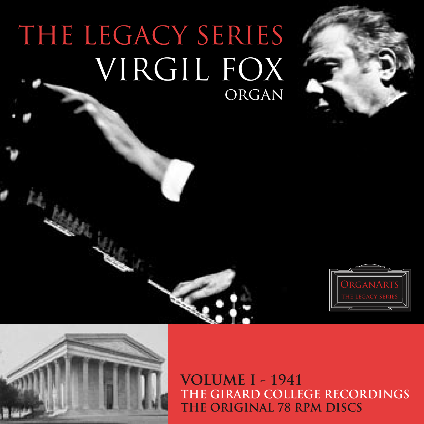# THE LEGACY SERIES VIRGIL FOX ORGAN





**VOLUME I - 1941** THE GIRARD COLLEGE RECORDINGS THE ORIGINAL 78 RPM DISCS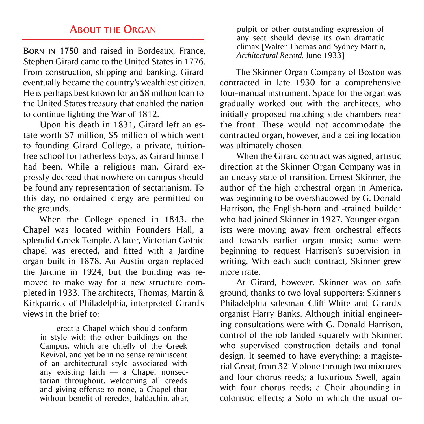### **ABOUT THE ORGAN**

**BORN IN 1750** and raised in Bordeaux, France, Stephen Girard came to the United States in 1776. From construction, shipping and banking, Girard eventually became the country's wealthiest citizen. He is perhaps best known for an \$8 million loan to the United States treasury that enabled the nation to continue fighting the War of 1812.

Upon his death in 1831, Girard left an estate worth \$7 million, \$5 million of which went to founding Girard College, a private, tuitionfree school for fatherless boys, as Girard himself had been. While a religious man, Girard expressly decreed that nowhere on campus should be found any representation of sectarianism. To this day, no ordained clergy are permitted on the grounds.

When the College opened in 1843, the Chapel was located within Founders Hall, a splendid Greek Temple. A later, Victorian Gothic chapel was erected, and fitted with a Jardine organ built in 1878. An Austin organ replaced the Jardine in 1924, but the building was removed to make way for a new structure completed in 1933. The architects, Thomas, Martin & Kirkpatrick of Philadelphia, interpreted Girard's views in the brief to:

erect a Chapel which should conform in style with the other buildings on the Campus, which are chiefly of the Greek Revival, and yet be in no sense reminiscent of an architectural style associated with any existing faith  $-$  a Chapel nonsectarian throughout, welcoming all creeds and giving offense to none, a Chapel that without benefit of reredos, baldachin, altar,

pulpit or other outstanding expression of any sect should devise its own dramatic climax [Walter Thomas and Sydney Martin, *Architectural Record,* June 1933]

The Skinner Organ Company of Boston was contracted in late 1930 for a comprehensive four-manual instrument. Space for the organ was gradually worked out with the architects, who initially proposed matching side chambers near the front. These would not accommodate the contracted organ, however, and a ceiling location was ultimately chosen.

When the Girard contract was signed, artistic direction at the Skinner Organ Company was in an uneasy state of transition. Ernest Skinner, the author of the high orchestral organ in America, was beginning to be overshadowed by G. Donald Harrison, the English-born and -trained builder who had joined Skinner in 1927. Younger organists were moving away from orchestral effects and towards earlier organ music; some were beginning to request Harrison's supervision in writing. With each such contract, Skinner grew more irate.

At Girard, however, Skinner was on safe ground, thanks to two loyal supporters: Skinner's Philadelphia salesman Cliff White and Girard's organist Harry Banks. Although initial engineering consultations were with G. Donald Harrison, control of the job landed squarely with Skinner, who supervised construction details and tonal design. It seemed to have everything: a magisterial Great, from 32' Violone through two mixtures and four chorus reeds; a luxurious Swell, again with four chorus reeds; a Choir abounding in coloristic effects; a Solo in which the usual or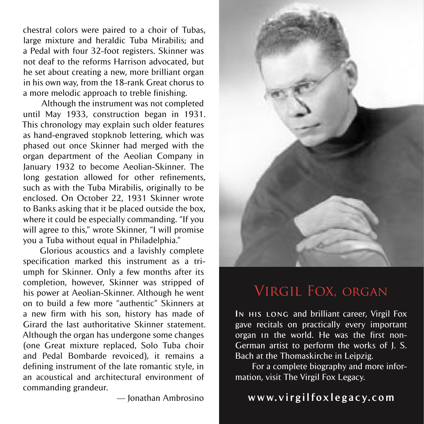chestral colors were paired to a choir of Tubas, large mixture and heraldic Tuba Mirabilis; and a Pedal with four 32-foot registers. Skinner was not deaf to the reforms Harrison advocated, but he set about creating a new, more brilliant organ in his own way, from the 18-rank Great chorus to a more melodic approach to treble finishing.

 Although the instrument was not completed until May 1933, construction began in 1931. This chronology may explain such older features as hand-engraved stopknob lettering, which was phased out once Skinner had merged with the organ department of the Aeolian Company in January 1932 to become Aeolian-Skinner. The long gestation allowed for other refinements, such as with the Tuba Mirabilis, originally to be enclosed. On October 22, 1931 Skinner wrote to Banks asking that it be placed outside the box, where it could be especially commanding. "If you will agree to this," wrote Skinner, "I will promise you a Tuba without equal in Philadelphia."

Glorious acoustics and a lavishly complete specification marked this instrument as a triumph for Skinner. Only a few months after its completion, however, Skinner was stripped of his power at Aeolian-Skinner. Although he went on to build a few more "authentic" Skinners at a new firm with his son, history has made of Girard the last authoritative Skinner statement. Although the organ has undergone some changes (one Great mixture replaced, Solo Tuba choir and Pedal Bombarde revoiced), it remains a defining instrument of the late romantic style, in an acoustical and architectural environment of commanding grandeur.

— Jonathan Ambrosino



# Virgil Fox, organ

**IN HIS LONG** and brilliant career, Virgil Fox gave recitals on practically every important organ **I**n the world. He was the first non-German artist to perform the works of J. S. Bach at the Thomaskirche in Leipzig.

For a complete biography and more information, visit The Virgil Fox Legacy.

## **w w w. v i r g i l f ox l e g a c y. c om**